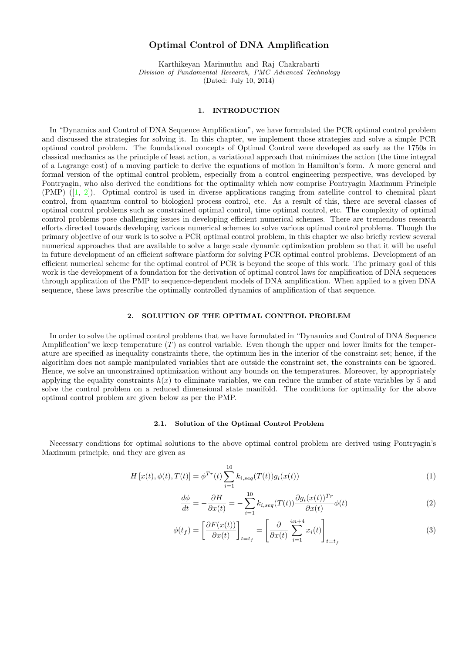# Optimal Control of DNA Amplification

Karthikeyan Marimuthu and Raj Chakrabarti Division of Fundamental Research, PMC Advanced Technology (Dated: July 10, 2014)

### 1. INTRODUCTION

In "Dynamics and Control of DNA Sequence Amplification", we have formulated the PCR optimal control problem and discussed the strategies for solving it. In this chapter, we implement those strategies and solve a simple PCR optimal control problem. The foundational concepts of Optimal Control were developed as early as the 1750s in classical mechanics as the principle of least action, a variational approach that minimizes the action (the time integral of a Lagrange cost) of a moving particle to derive the equations of motion in Hamilton's form. A more general and formal version of the optimal control problem, especially from a control engineering perspective, was developed by Pontryagin, who also derived the conditions for the optimality which now comprise Pontryagin Maximum Principle (PMP) ([\[1,](#page-7-0) [2\]](#page-7-1)). Optimal control is used in diverse applications ranging from satellite control to chemical plant control, from quantum control to biological process control, etc. As a result of this, there are several classes of optimal control problems such as constrained optimal control, time optimal control, etc. The complexity of optimal control problems pose challenging issues in developing efficient numerical schemes. There are tremendous research efforts directed towards developing various numerical schemes to solve various optimal control problems. Though the primary objective of our work is to solve a PCR optimal control problem, in this chapter we also briefly review several numerical approaches that are available to solve a large scale dynamic optimization problem so that it will be useful in future development of an efficient software platform for solving PCR optimal control problems. Development of an efficient numerical scheme for the optimal control of PCR is beyond the scope of this work. The primary goal of this work is the development of a foundation for the derivation of optimal control laws for amplification of DNA sequences through application of the PMP to sequence-dependent models of DNA amplification. When applied to a given DNA sequence, these laws prescribe the optimally controlled dynamics of amplification of that sequence.

#### 2. SOLUTION OF THE OPTIMAL CONTROL PROBLEM

In order to solve the optimal control problems that we have formulated in "Dynamics and Control of DNA Sequence Amplification" we keep temperature  $(T)$  as control variable. Even though the upper and lower limits for the temperature are specified as inequality constraints there, the optimum lies in the interior of the constraint set; hence, if the algorithm does not sample manipulated variables that are outside the constraint set, the constraints can be ignored. Hence, we solve an unconstrained optimization without any bounds on the temperatures. Moreover, by appropriately applying the equality constraints  $h(x)$  to eliminate variables, we can reduce the number of state variables by 5 and solve the control problem on a reduced dimensional state manifold. The conditions for optimality for the above optimal control problem are given below as per the PMP.

#### 2.1. Solution of the Optimal Control Problem

Necessary conditions for optimal solutions to the above optimal control problem are derived using Pontryagin's Maximum principle, and they are given as

$$
H[x(t), \phi(t), T(t)] = \phi^{Tr}(t) \sum_{i=1}^{10} k_{i, seq}(T(t)) g_i(x(t))
$$
\n(1)

<span id="page-0-0"></span>
$$
\frac{d\phi}{dt} = -\frac{\partial H}{\partial x(t)} = -\sum_{i=1}^{10} k_{i,seq}(T(t)) \frac{\partial g_i(x(t))^{Tr}}{\partial x(t)} \phi(t)
$$
\n(2)

$$
\phi(t_f) = \left[\frac{\partial F(x(t))}{\partial x(t)}\right]_{t=t_f} = \left[\frac{\partial}{\partial x(t)} \sum_{i=1}^{4n+4} x_i(t)\right]_{t=t_f}
$$
\n(3)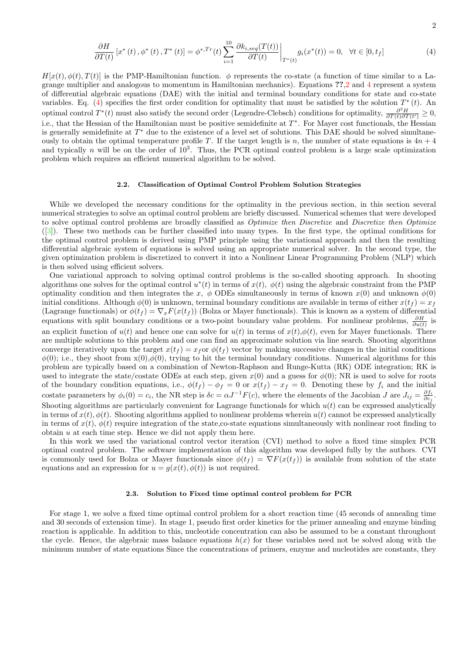<span id="page-1-0"></span>
$$
\frac{\partial H}{\partial T(t)}\left[x^*(t),\phi^*(t),T^*(t)\right] = \phi^{*,Tr}(t)\sum_{i=1}^{10} \frac{\partial k_{i,seq}(T(t))}{\partial T(t)}\bigg|_{T^*(t)} g_i(x^*(t)) = 0, \quad \forall t \in [0,t_f]
$$
\n(4)

 $H[x(t), \phi(t), T(t)]$  is the PMP-Hamiltonian function.  $\phi$  represents the co-state (a function of time similar to a Lagrange multiplier and analogous to momentum in Hamiltonian mechanics). Equations ??[,2](#page-0-0) and [4](#page-1-0) represent a system of differential algebraic equations (DAE) with the initial and terminal boundary conditions for state and co-state variables. Eq. [\(4\)](#page-1-0) specifies the first order condition for optimality that must be satisfied by the solution  $T^*(t)$ . An optimal control  $T^*(t)$  must also satisfy the second order (Legendre-Clebsch) conditions for optimality,  $\frac{\partial^2 H}{\partial T(t)\partial T(t')} \geq 0$ , i.e., that the Hessian of the Hamiltonian must be positive semidefinite at  $T^*$ . For Mayer cost functionals, the Hessian is generally semidefinite at  $T^*$  due to the existence of a level set of solutions. This DAE should be solved simultaneously to obtain the optimal temperature profile T. If the target length is n, the number of state equations is  $4n + 4$ and typically n will be on the order of  $10^3$ . Thus, the PCR optimal control problem is a large scale optimization problem which requires an efficient numerical algorithm to be solved.

#### 2.2. Classification of Optimal Control Problem Solution Strategies

While we developed the necessary conditions for the optimality in the previous section, in this section several numerical strategies to solve an optimal control problem are briefly discussed. Numerical schemes that were developed to solve optimal control problems are broadly classified as *Optimize then Discretize* and *Discretize then Optimize* ([\[3\]](#page-7-2)). These two methods can be further classified into many types. In the first type, the optimal conditions for the optimal control problem is derived using PMP principle using the variational approach and then the resulting differential algebraic system of equations is solved using an appropriate numerical solver. In the second type, the given optimization problem is discretized to convert it into a Nonlinear Linear Programming Problem (NLP) which is then solved using efficient solvers.

One variational approach to solving optimal control problems is the so-called shooting approach. In shooting algorithms one solves for the optimal control  $u^*(t)$  in terms of  $x(t)$ ,  $\phi(t)$  using the algebraic constraint from the PMP optimality condition and then integrates the x,  $\phi$  ODEs simultaneously in terms of known  $x(0)$  and unknown  $\phi(0)$ initial conditions. Although  $\phi(0)$  is unknown, terminal boundary conditions are available in terms of either  $x(t_f) = x_f$ (Lagrange functionals) or  $\phi(t_f) = \nabla_x F(x(t_f))$  (Bolza or Mayer functionals). This is known as a system of differential equations with split boundary conditions or a two-point boundary value problem. For nonlinear problems,  $\frac{\partial H}{\partial u(t)}$  is an explicit function of  $u(t)$  and hence one can solve for  $u(t)$  in terms of  $x(t), \phi(t)$ , even for Mayer functionals. There are multiple solutions to this problem and one can find an approximate solution via line search. Shooting algorithms converge iteratively upon the target  $x(t_f) = x_f$  or  $\phi(t_f)$  vector by making successive changes in the initial conditions  $\phi(0)$ ; i.e., they shoot from  $x(0), \phi(0)$ , trying to hit the terminal boundary conditions. Numerical algorithms for this problem are typically based on a combination of Newton-Raphson and Runge-Kutta (RK) ODE integration; RK is used to integrate the state/costate ODEs at each step, given  $x(0)$  and a guess for  $\phi(0)$ ; NR is used to solve for roots of the boundary condition equations, i.e.,  $\phi(t_f) - \phi_f = 0$  or  $x(t_f) - x_f = 0$ . Denoting these by  $f_i$  and the initial costate parameters by  $\phi_i(0) = c_i$ , the NR step is  $\delta c = \alpha J^{-1}F(c)$ , where the elements of the Jacobian J are  $J_{ij} = \frac{\partial f_i}{\partial c_j}$ . Shooting algorithms are particularly convenient for Lagrange functionals for which  $u(t)$  can be expressed analytically in terms of  $x(t)$ ,  $\phi(t)$ . Shooting algorithms applied to nonlinear problems wherein  $u(t)$  cannot be expressed analytically in terms of  $x(t)$ ,  $\phi(t)$  require integration of the state,co-state equations simultaneously with nonlinear root finding to obtain  $u$  at each time step. Hence we did not apply them here.

In this work we used the variational control vector iteration (CVI) method to solve a fixed time simplex PCR optimal control problem. The software implementation of this algorithm was developed fully by the authors. CVI is commonly used for Bolza or Mayer functionals since  $\phi(t_f) = \nabla F(x(t_f))$  is available from solution of the state equations and an expression for  $u = g(x(t), \phi(t))$  is not required.

#### 2.3. Solution to Fixed time optimal control problem for PCR

For stage 1, we solve a fixed time optimal control problem for a short reaction time (45 seconds of annealing time and 30 seconds of extension time). In stage 1, pseudo first order kinetics for the primer annealing and enzyme binding reaction is applicable. In addition to this, nucleotide concentration can also be assumed to be a constant throughout the cycle. Hence, the algebraic mass balance equations  $h(x)$  for these variables need not be solved along with the minimum number of state equations Since the concentrations of primers, enzyme and nucleotides are constants, they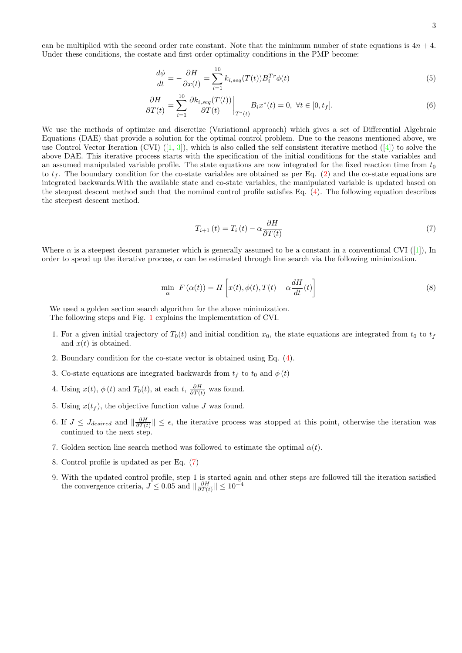can be multiplied with the second order rate constant. Note that the minimum number of state equations is  $4n + 4$ . Under these conditions, the costate and first order optimality conditions in the PMP become:

$$
\frac{d\phi}{dt} = -\frac{\partial H}{\partial x(t)} = \sum_{i=1}^{10} k_{i,seq}(T(t)) B_i^{Tr} \phi(t)
$$
\n(5)

$$
\frac{\partial H}{\partial T(t)} = \sum_{i=1}^{10} \frac{\partial k_{i,seq}(T(t))}{\partial T(t)} \bigg|_{T^*(t)} B_i x^*(t) = 0, \ \forall t \in [0, t_f]. \tag{6}
$$

We use the methods of optimize and discretize (Variational approach) which gives a set of Differential Algebraic Equations (DAE) that provide a solution for the optimal control problem. Due to the reasons mentioned above, we use Control Vector Iteration (CVI)  $([1, 3])$  $([1, 3])$  $([1, 3])$  $([1, 3])$  $([1, 3])$ , which is also called the self consistent iterative method  $([4])$  $([4])$  $([4])$  to solve the above DAE. This iterative process starts with the specification of the initial conditions for the state variables and an assumed manipulated variable profile. The state equations are now integrated for the fixed reaction time from  $t_0$ to  $t_f$ . The boundary condition for the co-state variables are obtained as per Eq. [\(2\)](#page-0-0) and the co-state equations are integrated backwards.With the available state and co-state variables, the manipulated variable is updated based on the steepest descent method such that the nominal control profile satisfies Eq. [\(4\)](#page-1-0). The following equation describes the steepest descent method.

<span id="page-2-0"></span>
$$
T_{i+1}(t) = T_i(t) - \alpha \frac{\partial H}{\partial T(t)}
$$
\n<sup>(7)</sup>

Where  $\alpha$  is a steepest descent parameter which is generally assumed to be a constant in a conventional CVI ([\[1\]](#page-7-0)), In order to speed up the iterative process,  $\alpha$  can be estimated through line search via the following minimization.

$$
\min_{\alpha} F(\alpha(t)) = H\left[x(t), \phi(t), T(t) - \alpha \frac{dH}{dt}(t)\right]
$$
\n(8)

We used a golden section search algorithm for the above minimization. The following steps and Fig. [1](#page-3-0) explains the implementation of CVI.

- 1. For a given initial trajectory of  $T_0(t)$  and initial condition  $x_0$ , the state equations are integrated from  $t_0$  to  $t_f$ and  $x(t)$  is obtained.
- 2. Boundary condition for the co-state vector is obtained using Eq. [\(4\)](#page-1-0).
- 3. Co-state equations are integrated backwards from  $t_f$  to  $t_0$  and  $\phi(t)$
- 4. Using  $x(t)$ ,  $\phi(t)$  and  $T_0(t)$ , at each  $t$ ,  $\frac{\partial H}{\partial T(t)}$  was found.
- 5. Using  $x(t_f)$ , the objective function value J was found.
- 6. If  $J \leq J_{desired}$  and  $\|\frac{\partial H}{\partial T(t)}\| \leq \epsilon$ , the iterative process was stopped at this point, otherwise the iteration was continued to the next step.
- 7. Golden section line search method was followed to estimate the optimal  $\alpha(t)$ .
- 8. Control profile is updated as per Eq. [\(7\)](#page-2-0)
- 9. With the updated control profile, step 1 is started again and other steps are followed till the iteration satisfied the convergence criteria,  $J \leq 0.05$  and  $\left\|\frac{\partial H}{\partial T(t)}\right\| \leq 10^{-4}$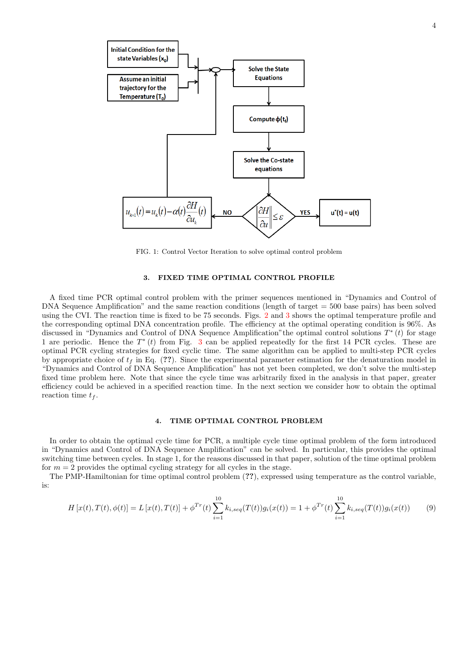

FIG. 1: Control Vector Iteration to solve optimal control problem

## <span id="page-3-1"></span>3. FIXED TIME OPTIMAL CONTROL PROFILE

<span id="page-3-0"></span>A fixed time PCR optimal control problem with the primer sequences mentioned in "Dynamics and Control of DNA Sequence Amplification" and the same reaction conditions (length of target = 500 base pairs) has been solved using the CVI. The reaction time is fixed to be 75 seconds. Figs. [2](#page-4-0) and [3](#page-4-1) shows the optimal temperature profile and the corresponding optimal DNA concentration profile. The efficiency at the optimal operating condition is 96%. As discussed in "Dynamics and Control of DNA Sequence Amplification" the optimal control solutions  $T^*(t)$  for stage 1 are periodic. Hence the  $T^*(t)$  from Fig. [3](#page-4-1) can be applied repeatedly for the first 14 PCR cycles. These are optimal PCR cycling strategies for fixed cyclic time. The same algorithm can be applied to multi-step PCR cycles by appropriate choice of  $t_f$  in Eq. (??). Since the experimental parameter estimation for the denaturation model in "Dynamics and Control of DNA Sequence Amplification" has not yet been completed, we don't solve the multi-step fixed time problem here. Note that since the cycle time was arbitrarily fixed in the analysis in that paper, greater efficiency could be achieved in a specified reaction time. In the next section we consider how to obtain the optimal reaction time  $t_f$ .

## 4. TIME OPTIMAL CONTROL PROBLEM

In order to obtain the optimal cycle time for PCR, a multiple cycle time optimal problem of the form introduced in "Dynamics and Control of DNA Sequence Amplification" can be solved. In particular, this provides the optimal switching time between cycles. In stage 1, for the reasons discussed in that paper, solution of the time optimal problem for  $m = 2$  provides the optimal cycling strategy for all cycles in the stage.

The PMP-Hamiltonian for time optimal control problem (??), expressed using temperature as the control variable, is:

$$
H\left[x(t),T(t),\phi(t)\right] = L\left[x(t),T(t)\right] + \phi^{Tr}(t)\sum_{i=1}^{10} k_{i,seq}(T(t))g_i(x(t)) = 1 + \phi^{Tr}(t)\sum_{i=1}^{10} k_{i,seq}(T(t))g_i(x(t)) \tag{9}
$$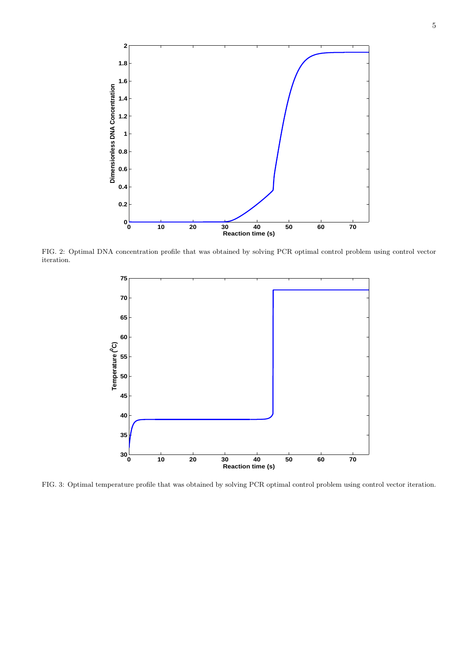

<span id="page-4-0"></span>FIG. 2: Optimal DNA concentration profile that was obtained by solving PCR optimal control problem using control vector iteration.



<span id="page-4-1"></span>FIG. 3: Optimal temperature profile that was obtained by solving PCR optimal control problem using control vector iteration.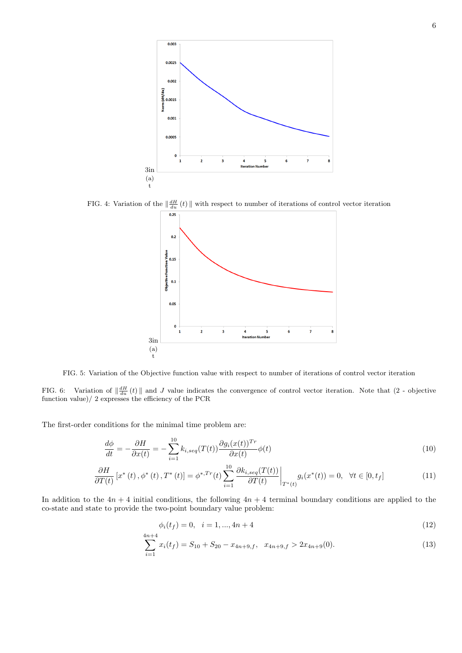

FIG. 4: Variation of the  $\|\frac{dH}{du}(t)\|$  with respect to number of iterations of control vector iteration  $0.25$ 



FIG. 5: Variation of the Objective function value with respect to number of iterations of control vector iteration

FIG. 6: Variation of  $\|\frac{dH}{du}(t)\|$  and J value indicates the convergence of control vector iteration. Note that  $(2 -$  objective function value)/ 2 expresses the efficiency of the PCR

The first-order conditions for the minimal time problem are:

$$
\frac{d\phi}{dt} = -\frac{\partial H}{\partial x(t)} = -\sum_{i=1}^{10} k_{i,seq}(T(t)) \frac{\partial g_i(x(t))^{Tr}}{\partial x(t)} \phi(t)
$$
\n(10)

$$
\frac{\partial H}{\partial T(t)}\left[x^*(t), \phi^*(t), T^*(t)\right] = \phi^{*,Tr}(t) \sum_{i=1}^{10} \frac{\partial k_{i,seq}(T(t))}{\partial T(t)} \bigg|_{T^*(t)} g_i(x^*(t)) = 0, \quad \forall t \in [0, t_f]
$$
\n(11)

In addition to the  $4n + 4$  initial conditions, the following  $4n + 4$  terminal boundary conditions are applied to the co-state and state to provide the two-point boundary value problem:

<span id="page-5-1"></span><span id="page-5-0"></span>
$$
\phi_i(t_f) = 0, \quad i = 1, ..., 4n + 4 \tag{12}
$$

$$
\sum_{i=1}^{4n+4} x_i(t_f) = S_{10} + S_{20} - x_{4n+9,f}, \quad x_{4n+9,f} > 2x_{4n+9}(0). \tag{13}
$$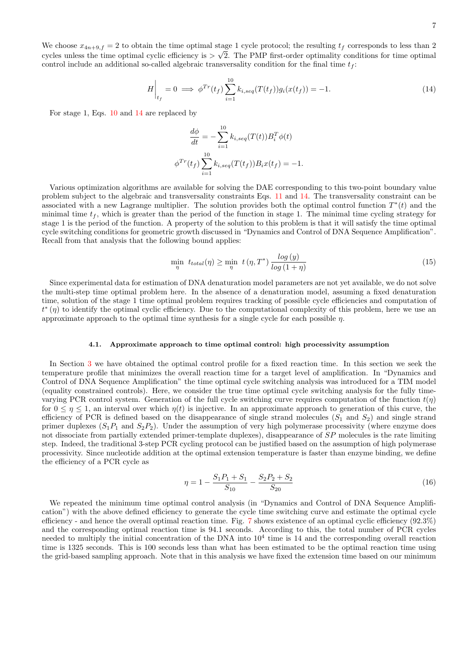$$
H\bigg|_{t_f} = 0 \implies \phi^{Tr}(t_f) \sum_{i=1}^{10} k_{i,seq}(T(t_f)) g_i(x(t_f)) = -1.
$$
 (14)

For stage 1, Eqs. [10](#page-5-0) and [14](#page-6-0) are replaced by

<span id="page-6-0"></span>
$$
\frac{d\phi}{dt} = -\sum_{i=1}^{10} k_{i,seq}(T(t)) B_i^T \phi(t)
$$

$$
\phi^{Tr}(t_f) \sum_{i=1}^{10} k_{i,seq}(T(t_f)) B_i x(t_f) = -1.
$$

Various optimization algorithms are available for solving the DAE corresponding to this two-point boundary value problem subject to the algebraic and transversality constraints Eqs. [11](#page-5-1) and [14.](#page-6-0) The transversality constraint can be associated with a new Lagrange multiplier. The solution provides both the optimal control function  $T^*(t)$  and the minimal time  $t_f$ , which is greater than the period of the function in stage 1. The minimal time cycling strategy for stage 1 is the period of the function. A property of the solution to this problem is that it will satisfy the time optimal cycle switching conditions for geometric growth discussed in "Dynamics and Control of DNA Sequence Amplification". Recall from that analysis that the following bound applies:

<span id="page-6-1"></span>
$$
\min_{\eta} t_{total}(\eta) \ge \min_{\eta} t(\eta, T^*) \frac{\log(y)}{\log(1+\eta)}
$$
\n(15)

Since experimental data for estimation of DNA denaturation model parameters are not yet available, we do not solve the multi-step time optimal problem here. In the absence of a denaturation model, assuming a fixed denaturation time, solution of the stage 1 time optimal problem requires tracking of possible cycle efficiencies and computation of  $t^*(\eta)$  to identify the optimal cyclic efficiency. Due to the computational complexity of this problem, here we use an approximate approach to the optimal time synthesis for a single cycle for each possible  $\eta$ .

### 4.1. Approximate approach to time optimal control: high processivity assumption

In Section [3](#page-3-1) we have obtained the optimal control profile for a fixed reaction time. In this section we seek the temperature profile that minimizes the overall reaction time for a target level of amplification. In "Dynamics and Control of DNA Sequence Amplification" the time optimal cycle switching analysis was introduced for a TIM model (equality constrained controls). Here, we consider the true time optimal cycle switching analysis for the fully timevarying PCR control system. Generation of the full cycle switching curve requires computation of the function  $t(\eta)$ for  $0 \leq \eta \leq 1$ , an interval over which  $\eta(t)$  is injective. In an approximate approach to generation of this curve, the efficiency of PCR is defined based on the disappearance of single strand molecules  $(S_1 \text{ and } S_2)$  and single strand primer duplexes  $(S_1P_1$  and  $S_2P_2)$ . Under the assumption of very high polymerase processivity (where enzyme does not dissociate from partially extended primer-template duplexes), disappearance of SP molecules is the rate limiting step. Indeed, the traditional 3-step PCR cycling protocol can be justified based on the assumption of high polymerase processivity. Since nucleotide addition at the optimal extension temperature is faster than enzyme binding, we define the efficiency of a PCR cycle as

$$
\eta = 1 - \frac{S_1 P_1 + S_1}{S_{10}} - \frac{S_2 P_2 + S_2}{S_{20}}\tag{16}
$$

We repeated the minimum time optimal control analysis (in "Dynamics and Control of DNA Sequence Amplification") with the above defined efficiency to generate the cycle time switching curve and estimate the optimal cycle efficiency - and hence the overall optimal reaction time. Fig. [7](#page-7-4) shows existence of an optimal cyclic efficiency (92.3%) and the corresponding optimal reaction time is 94.1 seconds. According to this, the total number of PCR cycles needed to multiply the initial concentration of the DNA into  $10<sup>4</sup>$  time is 14 and the corresponding overall reaction time is 1325 seconds. This is 100 seconds less than what has been estimated to be the optimal reaction time using the grid-based sampling approach. Note that in this analysis we have fixed the extension time based on our minimum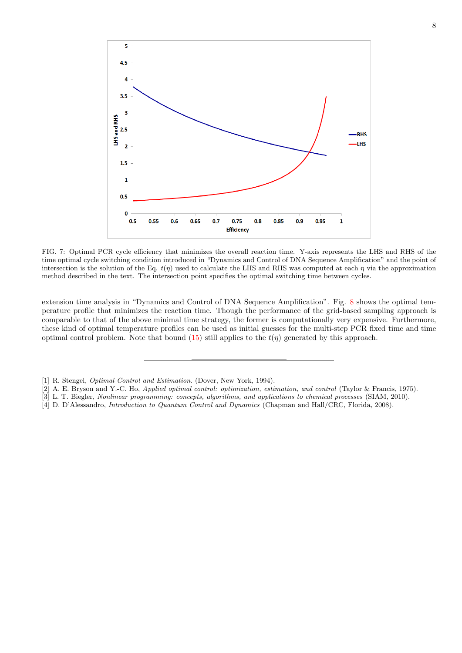

<span id="page-7-4"></span>FIG. 7: Optimal PCR cycle efficiency that minimizes the overall reaction time. Y-axis represents the LHS and RHS of the time optimal cycle switching condition introduced in "Dynamics and Control of DNA Sequence Amplification" and the point of intersection is the solution of the Eq.  $t(\eta)$  used to calculate the LHS and RHS was computed at each  $\eta$  via the approximation method described in the text. The intersection point specifies the optimal switching time between cycles.

extension time analysis in "Dynamics and Control of DNA Sequence Amplification". Fig. [8](#page-8-0) shows the optimal temperature profile that minimizes the reaction time. Though the performance of the grid-based sampling approach is comparable to that of the above minimal time strategy, the former is computationally very expensive. Furthermore, these kind of optimal temperature profiles can be used as initial guesses for the multi-step PCR fixed time and time optimal control problem. Note that bound [\(15\)](#page-6-1) still applies to the  $t(\eta)$  generated by this approach.

<span id="page-7-0"></span><sup>[1]</sup> R. Stengel, *Optimal Control and Estimation.* (Dover, New York, 1994).

<span id="page-7-1"></span><sup>[2]</sup> A. E. Bryson and Y.-C. Ho, Applied optimal control: optimization, estimation, and control (Taylor & Francis, 1975).

<span id="page-7-2"></span><sup>[3]</sup> L. T. Biegler, Nonlinear programming: concepts, algorithms, and applications to chemical processes (SIAM, 2010).

<span id="page-7-3"></span><sup>[4]</sup> D. D'Alessandro, Introduction to Quantum Control and Dynamics (Chapman and Hall/CRC, Florida, 2008).